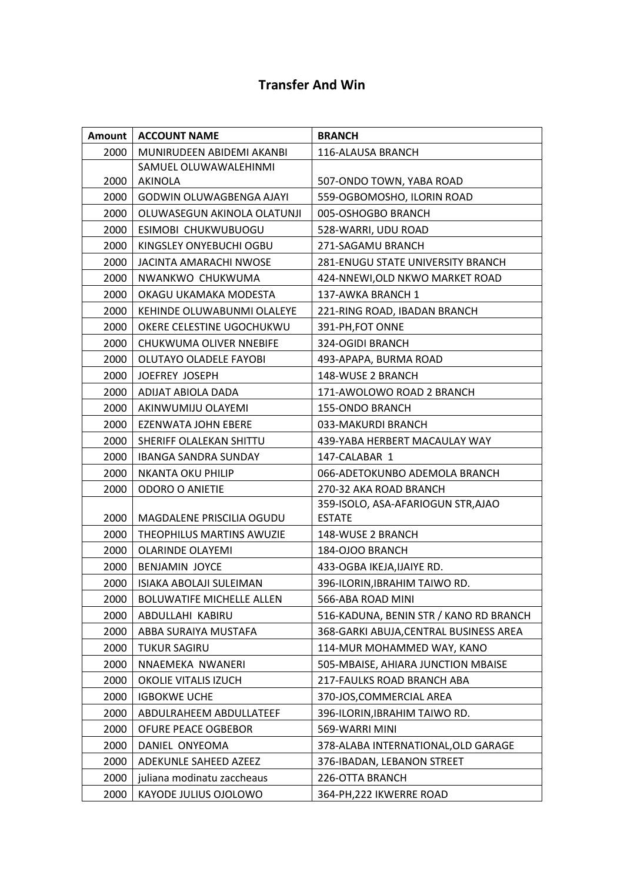## **Transfer And Win**

| Amount | <b>ACCOUNT NAME</b>              | <b>BRANCH</b>                                       |
|--------|----------------------------------|-----------------------------------------------------|
| 2000   | MUNIRUDEEN ABIDEMI AKANBI        | 116-ALAUSA BRANCH                                   |
| 2000   | SAMUEL OLUWAWALEHINMI<br>AKINOLA | 507-ONDO TOWN, YABA ROAD                            |
| 2000   | <b>GODWIN OLUWAGBENGA AJAYI</b>  | 559-OGBOMOSHO, ILORIN ROAD                          |
| 2000   | OLUWASEGUN AKINOLA OLATUNJI      | 005-OSHOGBO BRANCH                                  |
| 2000   | ESIMOBI CHUKWUBUOGU              | 528-WARRI, UDU ROAD                                 |
| 2000   | KINGSLEY ONYEBUCHI OGBU          | 271-SAGAMU BRANCH                                   |
| 2000   | JACINTA AMARACHI NWOSE           | <b>281-ENUGU STATE UNIVERSITY BRANCH</b>            |
| 2000   | NWANKWO CHUKWUMA                 | 424-NNEWI, OLD NKWO MARKET ROAD                     |
| 2000   | OKAGU UKAMAKA MODESTA            | 137-AWKA BRANCH 1                                   |
| 2000   | KEHINDE OLUWABUNMI OLALEYE       | 221-RING ROAD, IBADAN BRANCH                        |
| 2000   | OKERE CELESTINE UGOCHUKWU        | 391-PH, FOT ONNE                                    |
| 2000   | CHUKWUMA OLIVER NNEBIFE          | 324-OGIDI BRANCH                                    |
| 2000   | OLUTAYO OLADELE FAYOBI           | 493-APAPA, BURMA ROAD                               |
| 2000   | JOEFREY JOSEPH                   | 148-WUSE 2 BRANCH                                   |
| 2000   | ADIJAT ABIOLA DADA               | 171-AWOLOWO ROAD 2 BRANCH                           |
| 2000   | AKINWUMIJU OLAYEMI               | <b>155-ONDO BRANCH</b>                              |
| 2000   | <b>EZENWATA JOHN EBERE</b>       | 033-MAKURDI BRANCH                                  |
| 2000   | SHERIFF OLALEKAN SHITTU          | 439-YABA HERBERT MACAULAY WAY                       |
| 2000   | <b>IBANGA SANDRA SUNDAY</b>      | 147-CALABAR 1                                       |
| 2000   | <b>NKANTA OKU PHILIP</b>         | 066-ADETOKUNBO ADEMOLA BRANCH                       |
| 2000   | <b>ODORO O ANIETIE</b>           | 270-32 AKA ROAD BRANCH                              |
| 2000   | MAGDALENE PRISCILIA OGUDU        | 359-ISOLO, ASA-AFARIOGUN STR, AJAO<br><b>ESTATE</b> |
| 2000   | THEOPHILUS MARTINS AWUZIE        | 148-WUSE 2 BRANCH                                   |
| 2000   | <b>OLARINDE OLAYEMI</b>          | 184-OJOO BRANCH                                     |
| 2000   | <b>BENJAMIN JOYCE</b>            | 433-OGBA IKEJA, IJAIYE RD.                          |
| 2000   | ISIAKA ABOLAJI SULEIMAN          | 396-ILORIN, IBRAHIM TAIWO RD.                       |
| 2000   | <b>BOLUWATIFE MICHELLE ALLEN</b> | 566-ABA ROAD MINI                                   |
| 2000   | ABDULLAHI KABIRU                 | 516-KADUNA, BENIN STR / KANO RD BRANCH              |
| 2000   | ABBA SURAIYA MUSTAFA             | 368-GARKI ABUJA, CENTRAL BUSINESS AREA              |
| 2000   | <b>TUKUR SAGIRU</b>              | 114-MUR MOHAMMED WAY, KANO                          |
| 2000   | NNAEMEKA NWANERI                 | 505-MBAISE, AHIARA JUNCTION MBAISE                  |
| 2000   | OKOLIE VITALIS IZUCH             | 217-FAULKS ROAD BRANCH ABA                          |
| 2000   | <b>IGBOKWE UCHE</b>              | 370-JOS, COMMERCIAL AREA                            |
| 2000   | ABDULRAHEEM ABDULLATEEF          | 396-ILORIN, IBRAHIM TAIWO RD.                       |
| 2000   | OFURE PEACE OGBEBOR              | 569-WARRI MINI                                      |
| 2000   | DANIEL ONYEOMA                   | 378-ALABA INTERNATIONAL, OLD GARAGE                 |
| 2000   | ADEKUNLE SAHEED AZEEZ            | 376-IBADAN, LEBANON STREET                          |
| 2000   | juliana modinatu zaccheaus       | 226-OTTA BRANCH                                     |
| 2000   | KAYODE JULIUS OJOLOWO            | 364-PH, 222 IKWERRE ROAD                            |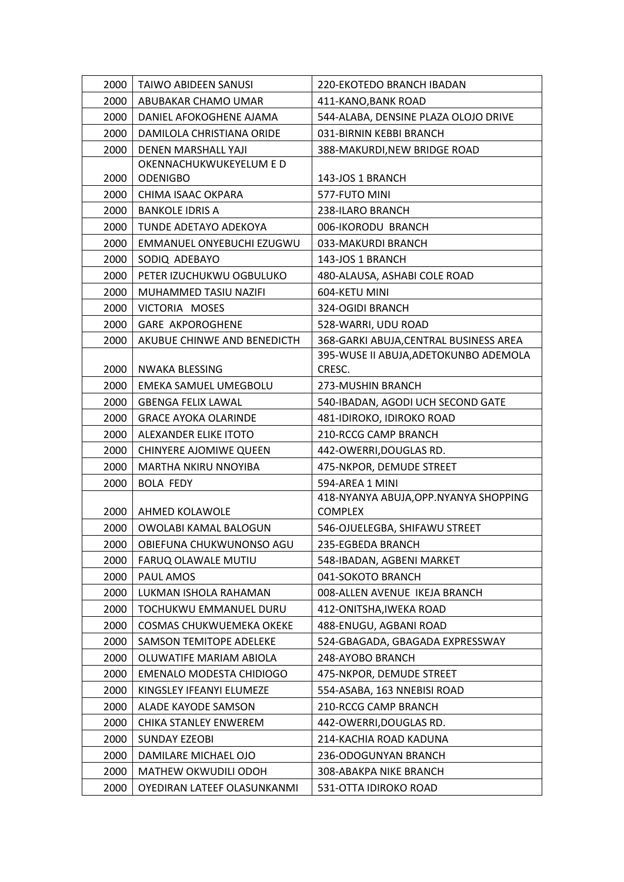| 2000 | <b>TAIWO ABIDEEN SANUSI</b>     | 220-EKOTEDO BRANCH IBADAN              |
|------|---------------------------------|----------------------------------------|
| 2000 | ABUBAKAR CHAMO UMAR             | 411-KANO, BANK ROAD                    |
| 2000 | DANIEL AFOKOGHENE AJAMA         | 544-ALABA, DENSINE PLAZA OLOJO DRIVE   |
| 2000 | DAMILOLA CHRISTIANA ORIDE       | 031-BIRNIN KEBBI BRANCH                |
| 2000 | <b>DENEN MARSHALL YAJI</b>      | 388-MAKURDI, NEW BRIDGE ROAD           |
|      | OKENNACHUKWUKEYELUM E D         |                                        |
| 2000 | <b>ODENIGBO</b>                 | 143-JOS 1 BRANCH                       |
| 2000 | CHIMA ISAAC OKPARA              | 577-FUTO MINI                          |
| 2000 | BANKOLE IDRIS A                 | 238-ILARO BRANCH                       |
| 2000 | TUNDE ADETAYO ADEKOYA           | 006-IKORODU BRANCH                     |
| 2000 | EMMANUEL ONYEBUCHI EZUGWU       | 033-MAKURDI BRANCH                     |
| 2000 | SODIQ ADEBAYO                   | 143-JOS 1 BRANCH                       |
| 2000 | PETER IZUCHUKWU OGBULUKO        | 480-ALAUSA, ASHABI COLE ROAD           |
| 2000 | <b>MUHAMMED TASIU NAZIFI</b>    | 604-KETU MINI                          |
| 2000 | VICTORIA MOSES                  | 324-OGIDI BRANCH                       |
| 2000 | <b>GARE AKPOROGHENE</b>         | 528-WARRI, UDU ROAD                    |
| 2000 | AKUBUE CHINWE AND BENEDICTH     | 368-GARKI ABUJA, CENTRAL BUSINESS AREA |
|      |                                 | 395-WUSE II ABUJA, ADETOKUNBO ADEMOLA  |
| 2000 | NWAKA BLESSING                  | CRESC.                                 |
| 2000 | EMEKA SAMUEL UMEGBOLU           | 273-MUSHIN BRANCH                      |
| 2000 | <b>GBENGA FELIX LAWAL</b>       | 540-IBADAN, AGODI UCH SECOND GATE      |
| 2000 | <b>GRACE AYOKA OLARINDE</b>     | 481-IDIROKO, IDIROKO ROAD              |
| 2000 | ALEXANDER ELIKE ITOTO           | 210-RCCG CAMP BRANCH                   |
| 2000 | CHINYERE AJOMIWE QUEEN          | 442-OWERRI, DOUGLAS RD.                |
| 2000 | MARTHA NKIRU NNOYIBA            | 475-NKPOR, DEMUDE STREET               |
| 2000 | <b>BOLA FEDY</b>                | 594-AREA 1 MINI                        |
|      |                                 | 418-NYANYA ABUJA, OPP. NYANYA SHOPPING |
| 2000 | AHMED KOLAWOLE                  | <b>COMPLEX</b>                         |
| 2000 | OWOLABI KAMAL BALOGUN           | 546-OJUELEGBA, SHIFAWU STREET          |
|      | 2000   OBIEFUNA CHUKWUNONSO AGU | 235-EGBEDA BRANCH                      |
| 2000 | FARUQ OLAWALE MUTIU             | 548-IBADAN, AGBENI MARKET              |
| 2000 | PAUL AMOS                       | 041-SOKOTO BRANCH                      |
| 2000 | LUKMAN ISHOLA RAHAMAN           | 008-ALLEN AVENUE IKEJA BRANCH          |
| 2000 | TOCHUKWU EMMANUEL DURU          | 412-ONITSHA, IWEKA ROAD                |
| 2000 | <b>COSMAS CHUKWUEMEKA OKEKE</b> | 488-ENUGU, AGBANI ROAD                 |
| 2000 | SAMSON TEMITOPE ADELEKE         | 524-GBAGADA, GBAGADA EXPRESSWAY        |
| 2000 | OLUWATIFE MARIAM ABIOLA         | 248-AYOBO BRANCH                       |
| 2000 | EMENALO MODESTA CHIDIOGO        | 475-NKPOR, DEMUDE STREET               |
| 2000 | KINGSLEY IFEANYI ELUMEZE        | 554-ASABA, 163 NNEBISI ROAD            |
| 2000 | ALADE KAYODE SAMSON             | 210-RCCG CAMP BRANCH                   |
| 2000 | CHIKA STANLEY ENWEREM           | 442-OWERRI, DOUGLAS RD.                |
| 2000 | <b>SUNDAY EZEOBI</b>            | 214-KACHIA ROAD KADUNA                 |
| 2000 | DAMILARE MICHAEL OJO            | 236-ODOGUNYAN BRANCH                   |
| 2000 | MATHEW OKWUDILI ODOH            | 308-ABAKPA NIKE BRANCH                 |
| 2000 | OYEDIRAN LATEEF OLASUNKANMI     | 531-OTTA IDIROKO ROAD                  |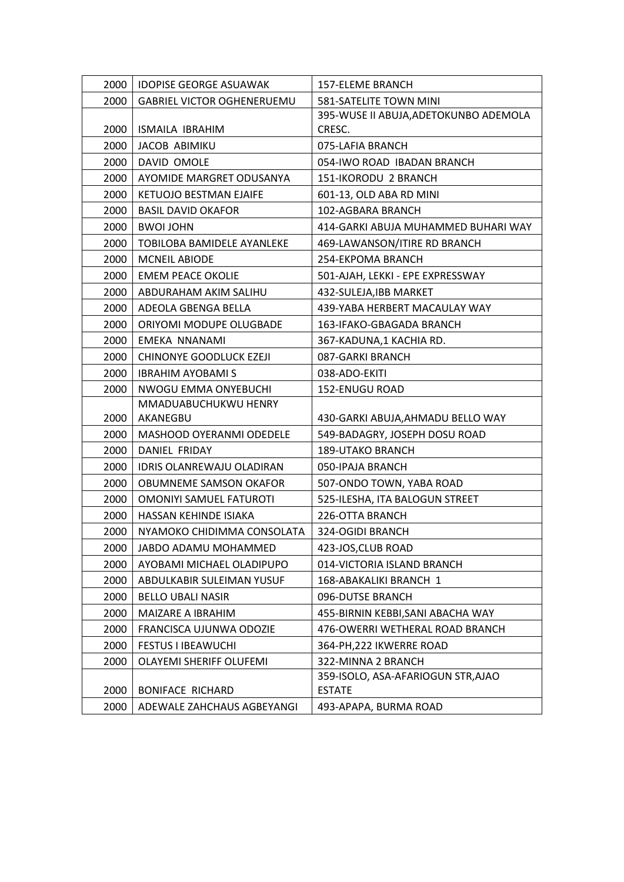| 2000 | <b>IDOPISE GEORGE ASUAWAK</b>     | 157-ELEME BRANCH                      |
|------|-----------------------------------|---------------------------------------|
| 2000 | <b>GABRIEL VICTOR OGHENERUEMU</b> | 581-SATELITE TOWN MINI                |
|      |                                   | 395-WUSE II ABUJA, ADETOKUNBO ADEMOLA |
| 2000 | ISMAILA IBRAHIM                   | CRESC.                                |
| 2000 | JACOB ABIMIKU                     | 075-LAFIA BRANCH                      |
| 2000 | DAVID OMOLE                       | 054-IWO ROAD IBADAN BRANCH            |
| 2000 | AYOMIDE MARGRET ODUSANYA          | 151-IKORODU 2 BRANCH                  |
| 2000 | <b>KETUOJO BESTMAN EJAIFE</b>     | 601-13, OLD ABA RD MINI               |
| 2000 | <b>BASIL DAVID OKAFOR</b>         | 102-AGBARA BRANCH                     |
| 2000 | <b>BWOI JOHN</b>                  | 414-GARKI ABUJA MUHAMMED BUHARI WAY   |
| 2000 | TOBILOBA BAMIDELE AYANLEKE        | 469-LAWANSON/ITIRE RD BRANCH          |
| 2000 | <b>MCNEIL ABIODE</b>              | 254-EKPOMA BRANCH                     |
| 2000 | <b>EMEM PEACE OKOLIE</b>          | 501-AJAH, LEKKI - EPE EXPRESSWAY      |
| 2000 | ABDURAHAM AKIM SALIHU             | 432-SULEJA, IBB MARKET                |
| 2000 | ADEOLA GBENGA BELLA               | 439-YABA HERBERT MACAULAY WAY         |
| 2000 | ORIYOMI MODUPE OLUGBADE           | 163-IFAKO-GBAGADA BRANCH              |
| 2000 | EMEKA NNANAMI                     | 367-KADUNA,1 KACHIA RD.               |
| 2000 | <b>CHINONYE GOODLUCK EZEJI</b>    | 087-GARKI BRANCH                      |
| 2000 | <b>IBRAHIM AYOBAMI S</b>          | 038-ADO-EKITI                         |
| 2000 | NWOGU EMMA ONYEBUCHI              | 152-ENUGU ROAD                        |
|      | MMADUABUCHUKWU HENRY              |                                       |
| 2000 | AKANEGBU                          | 430-GARKI ABUJA, AHMADU BELLO WAY     |
| 2000 | MASHOOD OYERANMI ODEDELE          | 549-BADAGRY, JOSEPH DOSU ROAD         |
| 2000 | DANIEL FRIDAY                     | <b>189-UTAKO BRANCH</b>               |
| 2000 | <b>IDRIS OLANREWAJU OLADIRAN</b>  | 050-IPAJA BRANCH                      |
| 2000 | OBUMNEME SAMSON OKAFOR            | 507-ONDO TOWN, YABA ROAD              |
| 2000 | OMONIYI SAMUEL FATUROTI           | 525-ILESHA, ITA BALOGUN STREET        |
| 2000 | HASSAN KEHINDE ISIAKA             | 226-OTTA BRANCH                       |
| 2000 | NYAMOKO CHIDIMMA CONSOLATA        | 324-OGIDI BRANCH                      |
| 2000 | JABDO ADAMU MOHAMMED              | 423-JOS, CLUB ROAD                    |
| 2000 | AYOBAMI MICHAEL OLADIPUPO         | 014-VICTORIA ISLAND BRANCH            |
| 2000 | ABDULKABIR SULEIMAN YUSUF         | 168-ABAKALIKI BRANCH 1                |
| 2000 | <b>BELLO UBALI NASIR</b>          | 096-DUTSE BRANCH                      |
| 2000 | MAIZARE A IBRAHIM                 | 455-BIRNIN KEBBI, SANI ABACHA WAY     |
| 2000 | FRANCISCA UJUNWA ODOZIE           | 476-OWERRI WETHERAL ROAD BRANCH       |
| 2000 | <b>FESTUS I IBEAWUCHI</b>         | 364-PH, 222 IKWERRE ROAD              |
| 2000 | OLAYEMI SHERIFF OLUFEMI           | 322-MINNA 2 BRANCH                    |
|      |                                   | 359-ISOLO, ASA-AFARIOGUN STR, AJAO    |
| 2000 | <b>BONIFACE RICHARD</b>           | <b>ESTATE</b>                         |
| 2000 | ADEWALE ZAHCHAUS AGBEYANGI        | 493-APAPA, BURMA ROAD                 |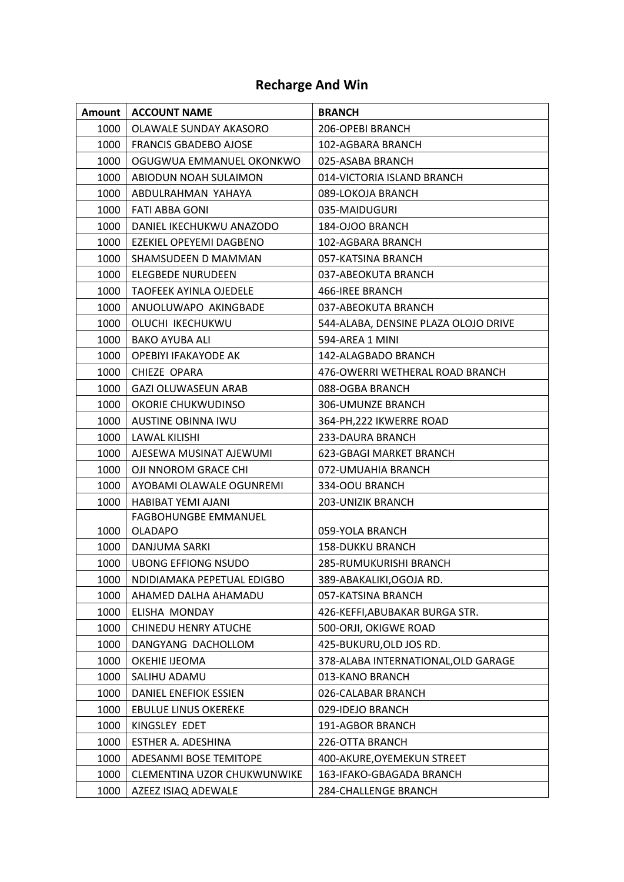## **Recharge And Win**

| Amount | <b>ACCOUNT NAME</b>           | <b>BRANCH</b>                        |
|--------|-------------------------------|--------------------------------------|
| 1000   | OLAWALE SUNDAY AKASORO        | 206-OPEBI BRANCH                     |
| 1000   | <b>FRANCIS GBADEBO AJOSE</b>  | 102-AGBARA BRANCH                    |
| 1000   | OGUGWUA EMMANUEL OKONKWO      | 025-ASABA BRANCH                     |
| 1000   | ABIODUN NOAH SULAIMON         | 014-VICTORIA ISLAND BRANCH           |
| 1000   | ABDULRAHMAN YAHAYA            | 089-LOKOJA BRANCH                    |
| 1000   | <b>FATI ABBA GONI</b>         | 035-MAIDUGURI                        |
| 1000   | DANIEL IKECHUKWU ANAZODO      | 184-OJOO BRANCH                      |
| 1000   | EZEKIEL OPEYEMI DAGBENO       | 102-AGBARA BRANCH                    |
| 1000   | SHAMSUDEEN D MAMMAN           | 057-KATSINA BRANCH                   |
| 1000   | ELEGBEDE NURUDEEN             | 037-ABEOKUTA BRANCH                  |
| 1000   | <b>TAOFEEK AYINLA OJEDELE</b> | 466-IREE BRANCH                      |
| 1000   | ANUOLUWAPO AKINGBADE          | 037-ABEOKUTA BRANCH                  |
| 1000   | OLUCHI IKECHUKWU              | 544-ALABA, DENSINE PLAZA OLOJO DRIVE |
| 1000   | BAKO AYUBA ALI                | 594-AREA 1 MINI                      |
| 1000   | OPEBIYI IFAKAYODE AK          | 142-ALAGBADO BRANCH                  |
| 1000   | CHIEZE OPARA                  | 476-OWERRI WETHERAL ROAD BRANCH      |
| 1000   | <b>GAZI OLUWASEUN ARAB</b>    | 088-OGBA BRANCH                      |
| 1000   | OKORIE CHUKWUDINSO            | 306-UMUNZE BRANCH                    |
| 1000   | <b>AUSTINE OBINNA IWU</b>     | 364-PH, 222 IKWERRE ROAD             |
| 1000   | LAWAL KILISHI                 | 233-DAURA BRANCH                     |
| 1000   | AJESEWA MUSINAT AJEWUMI       | 623-GBAGI MARKET BRANCH              |
| 1000   | OJI NNOROM GRACE CHI          | 072-UMUAHIA BRANCH                   |
| 1000   | AYOBAMI OLAWALE OGUNREMI      | 334-OOU BRANCH                       |
| 1000   | HABIBAT YEMI AJANI            | 203-UNIZIK BRANCH                    |
|        | <b>FAGBOHUNGBE EMMANUEL</b>   |                                      |
| 1000   | <b>OLADAPO</b>                | 059-YOLA BRANCH                      |
| 1000   | DANJUMA SARKI                 | <b>158-DUKKU BRANCH</b>              |
| 1000   | <b>UBONG EFFIONG NSUDO</b>    | 285-RUMUKURISHI BRANCH               |
| 1000   | NDIDIAMAKA PEPETUAL EDIGBO    | 389-ABAKALIKI, OGOJA RD.             |
| 1000   | AHAMED DALHA AHAMADU          | 057-KATSINA BRANCH                   |
| 1000   | ELISHA MONDAY                 | 426-KEFFI, ABUBAKAR BURGA STR.       |
| 1000   | CHINEDU HENRY ATUCHE          | 500-ORJI, OKIGWE ROAD                |
| 1000   | DANGYANG DACHOLLOM            | 425-BUKURU, OLD JOS RD.              |
| 1000   | OKEHIE IJEOMA                 | 378-ALABA INTERNATIONAL, OLD GARAGE  |
| 1000   | SALIHU ADAMU                  | 013-KANO BRANCH                      |
| 1000   | DANIEL ENEFIOK ESSIEN         | 026-CALABAR BRANCH                   |
| 1000   | <b>EBULUE LINUS OKEREKE</b>   | 029-IDEJO BRANCH                     |
| 1000   | KINGSLEY EDET                 | 191-AGBOR BRANCH                     |
| 1000   | ESTHER A. ADESHINA            | 226-OTTA BRANCH                      |
| 1000   | ADESANMI BOSE TEMITOPE        | 400-AKURE, OYEMEKUN STREET           |
| 1000   | CLEMENTINA UZOR CHUKWUNWIKE   | 163-IFAKO-GBAGADA BRANCH             |
| 1000   | AZEEZ ISIAQ ADEWALE           | 284-CHALLENGE BRANCH                 |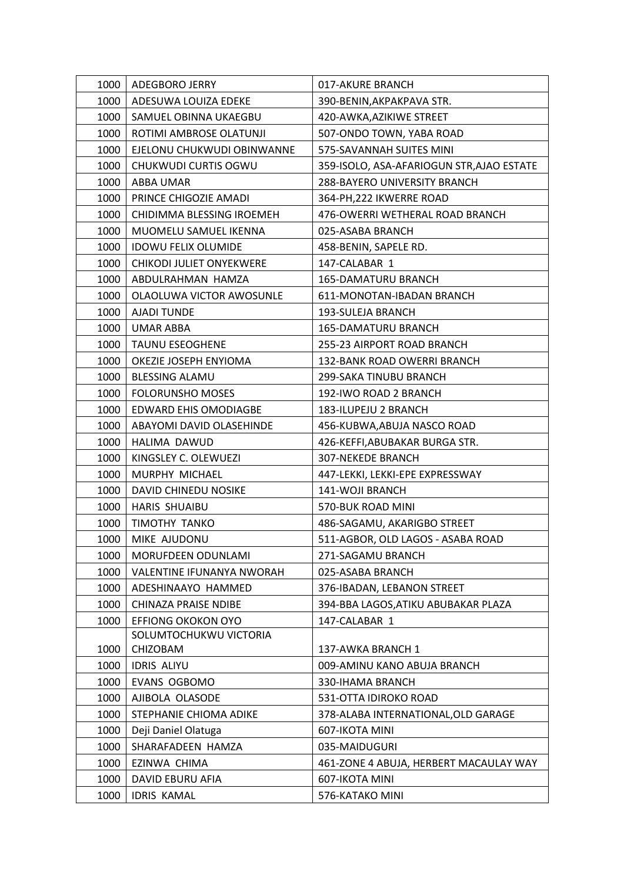| 1000 | ADEGBORO JERRY             | 017-AKURE BRANCH                          |
|------|----------------------------|-------------------------------------------|
| 1000 | ADESUWA LOUIZA EDEKE       | 390-BENIN, AKPAKPAVA STR.                 |
| 1000 | SAMUEL OBINNA UKAEGBU      | 420-AWKA, AZIKIWE STREET                  |
| 1000 | ROTIMI AMBROSE OLATUNJI    | 507-ONDO TOWN, YABA ROAD                  |
| 1000 | EJELONU CHUKWUDI OBINWANNE | 575-SAVANNAH SUITES MINI                  |
| 1000 | CHUKWUDI CURTIS OGWU       | 359-ISOLO, ASA-AFARIOGUN STR, AJAO ESTATE |
| 1000 | ABBA UMAR                  | 288-BAYERO UNIVERSITY BRANCH              |
| 1000 | PRINCE CHIGOZIE AMADI      | 364-PH, 222 IKWERRE ROAD                  |
| 1000 | CHIDIMMA BLESSING IROEMEH  | 476-OWERRI WETHERAL ROAD BRANCH           |
| 1000 | MUOMELU SAMUEL IKENNA      | 025-ASABA BRANCH                          |
| 1000 | <b>IDOWU FELIX OLUMIDE</b> | 458-BENIN, SAPELE RD.                     |
| 1000 | CHIKODI JULIET ONYEKWERE   | 147-CALABAR 1                             |
| 1000 | ABDULRAHMAN HAMZA          | <b>165-DAMATURU BRANCH</b>                |
| 1000 | OLAOLUWA VICTOR AWOSUNLE   | 611-MONOTAN-IBADAN BRANCH                 |
| 1000 | <b>AJADI TUNDE</b>         | 193-SULEJA BRANCH                         |
| 1000 | UMAR ABBA                  | <b>165-DAMATURU BRANCH</b>                |
| 1000 | <b>TAUNU ESEOGHENE</b>     | 255-23 AIRPORT ROAD BRANCH                |
| 1000 | OKEZIE JOSEPH ENYIOMA      | 132-BANK ROAD OWERRI BRANCH               |
| 1000 | <b>BLESSING ALAMU</b>      | 299-SAKA TINUBU BRANCH                    |
| 1000 | <b>FOLORUNSHO MOSES</b>    | 192-IWO ROAD 2 BRANCH                     |
| 1000 | EDWARD EHIS OMODIAGBE      | 183-ILUPEJU 2 BRANCH                      |
| 1000 | ABAYOMI DAVID OLASEHINDE   | 456-KUBWA, ABUJA NASCO ROAD               |
| 1000 | HALIMA DAWUD               | 426-KEFFI, ABUBAKAR BURGA STR.            |
| 1000 | KINGSLEY C. OLEWUEZI       | <b>307-NEKEDE BRANCH</b>                  |
| 1000 | MURPHY MICHAEL             | 447-LEKKI, LEKKI-EPE EXPRESSWAY           |
| 1000 | DAVID CHINEDU NOSIKE       | 141-WOJI BRANCH                           |
| 1000 | HARIS SHUAIBU              | 570-BUK ROAD MINI                         |
| 1000 | TIMOTHY TANKO              | 486-SAGAMU, AKARIGBO STREET               |
| 1000 | MIKE AJUDONU               | 511-AGBOR, OLD LAGOS - ASABA ROAD         |
| 1000 | MORUFDEEN ODUNLAMI         | 271-SAGAMU BRANCH                         |
| 1000 | VALENTINE IFUNANYA NWORAH  | 025-ASABA BRANCH                          |
| 1000 | ADESHINAAYO HAMMED         | 376-IBADAN, LEBANON STREET                |
| 1000 | CHINAZA PRAISE NDIBE       | 394-BBA LAGOS, ATIKU ABUBAKAR PLAZA       |
| 1000 | <b>EFFIONG OKOKON OYO</b>  | 147-CALABAR 1                             |
|      | SOLUMTOCHUKWU VICTORIA     |                                           |
| 1000 | CHIZOBAM                   | 137-AWKA BRANCH 1                         |
| 1000 | <b>IDRIS ALIYU</b>         | 009-AMINU KANO ABUJA BRANCH               |
| 1000 | EVANS OGBOMO               | 330-IHAMA BRANCH                          |
| 1000 | AJIBOLA OLASODE            | 531-OTTA IDIROKO ROAD                     |
| 1000 | STEPHANIE CHIOMA ADIKE     | 378-ALABA INTERNATIONAL, OLD GARAGE       |
| 1000 | Deji Daniel Olatuga        | 607-IKOTA MINI                            |
| 1000 | SHARAFADEEN HAMZA          | 035-MAIDUGURI                             |
| 1000 | EZINWA CHIMA               | 461-ZONE 4 ABUJA, HERBERT MACAULAY WAY    |
| 1000 | DAVID EBURU AFIA           | 607-IKOTA MINI                            |
| 1000 | <b>IDRIS KAMAL</b>         | 576-KATAKO MINI                           |